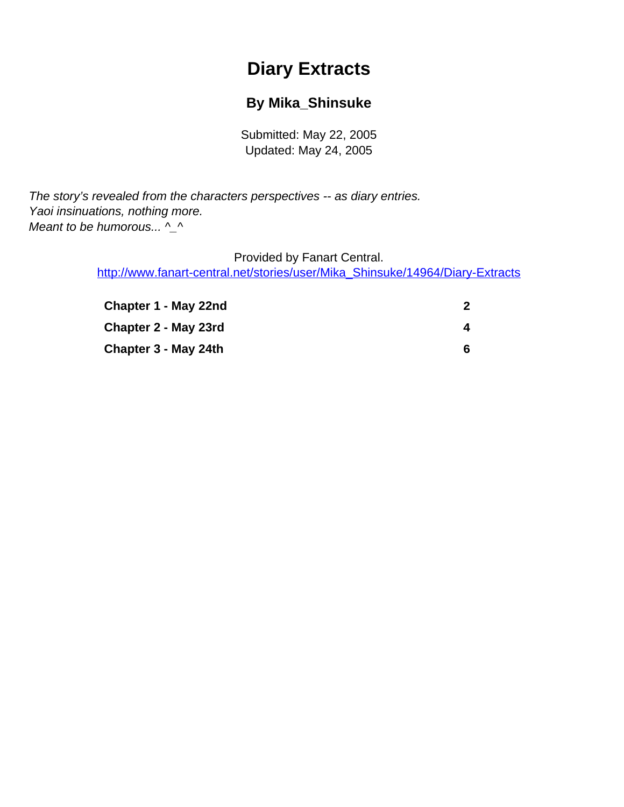# **Diary Extracts**

### **By Mika\_Shinsuke**

Submitted: May 22, 2005 Updated: May 24, 2005

<span id="page-0-0"></span>The story's revealed from the characters perspectives -- as diary entries. Yaoi insinuations, nothing more. Meant to be humorous...  $\Lambda$ 

Provided by Fanart Central.

[http://www.fanart-central.net/stories/user/Mika\\_Shinsuke/14964/Diary-Extracts](#page-0-0)

| Chapter 1 - May 22nd |    |
|----------------------|----|
| Chapter 2 - May 23rd |    |
| Chapter 3 - May 24th | б. |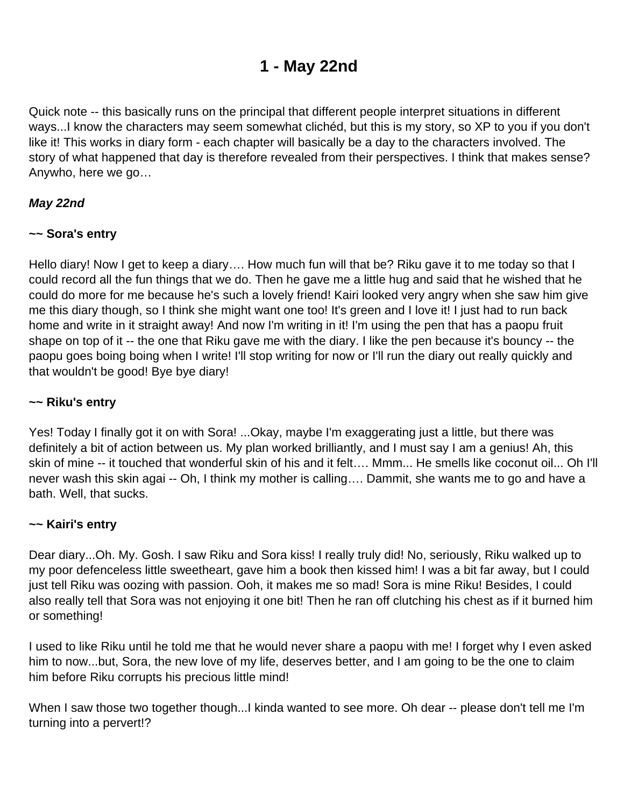## **1 - May 22nd**

<span id="page-1-0"></span>Quick note -- this basically runs on the principal that different people interpret situations in different ways...I know the characters may seem somewhat clichéd, but this is my story, so XP to you if you don't like it! This works in diary form - each chapter will basically be a day to the characters involved. The story of what happened that day is therefore revealed from their perspectives. I think that makes sense? Anywho, here we go…

#### **May 22nd**

#### **~~ Sora's entry**

Hello diary! Now I get to keep a diary…. How much fun will that be? Riku gave it to me today so that I could record all the fun things that we do. Then he gave me a little hug and said that he wished that he could do more for me because he's such a lovely friend! Kairi looked very angry when she saw him give me this diary though, so I think she might want one too! It's green and I love it! I just had to run back home and write in it straight away! And now I'm writing in it! I'm using the pen that has a paopu fruit shape on top of it -- the one that Riku gave me with the diary. I like the pen because it's bouncy -- the paopu goes boing boing when I write! I'll stop writing for now or I'll run the diary out really quickly and that wouldn't be good! Bye bye diary!

#### **~~ Riku's entry**

Yes! Today I finally got it on with Sora! ...Okay, maybe I'm exaggerating just a little, but there was definitely a bit of action between us. My plan worked brilliantly, and I must say I am a genius! Ah, this skin of mine -- it touched that wonderful skin of his and it felt…. Mmm... He smells like coconut oil... Oh I'll never wash this skin agai -- Oh, I think my mother is calling…. Dammit, she wants me to go and have a bath. Well, that sucks.

#### **~~ Kairi's entry**

Dear diary...Oh. My. Gosh. I saw Riku and Sora kiss! I really truly did! No, seriously, Riku walked up to my poor defenceless little sweetheart, gave him a book then kissed him! I was a bit far away, but I could just tell Riku was oozing with passion. Ooh, it makes me so mad! Sora is mine Riku! Besides, I could also really tell that Sora was not enjoying it one bit! Then he ran off clutching his chest as if it burned him or something!

I used to like Riku until he told me that he would never share a paopu with me! I forget why I even asked him to now...but, Sora, the new love of my life, deserves better, and I am going to be the one to claim him before Riku corrupts his precious little mind!

When I saw those two together though...I kinda wanted to see more. Oh dear -- please don't tell me I'm turning into a pervert!?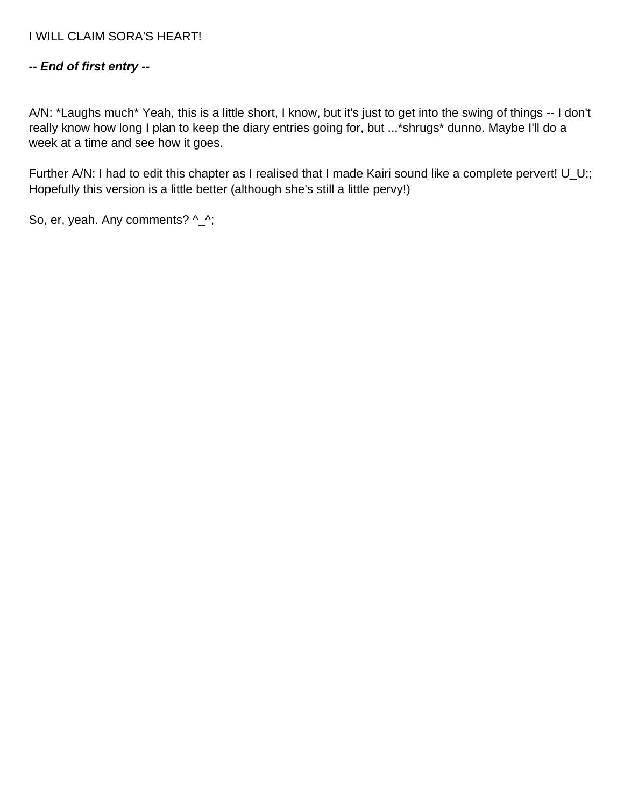#### **-- End of first entry --**

A/N: \*Laughs much\* Yeah, this is a little short, I know, but it's just to get into the swing of things -- I don't really know how long I plan to keep the diary entries going for, but ...\*shrugs\* dunno. Maybe I'll do a week at a time and see how it goes.

Further A/N: I had to edit this chapter as I realised that I made Kairi sound like a complete pervert! U\_U;; Hopefully this version is a little better (although she's still a little pervy!)

So, er, yeah. Any comments? ^\_^;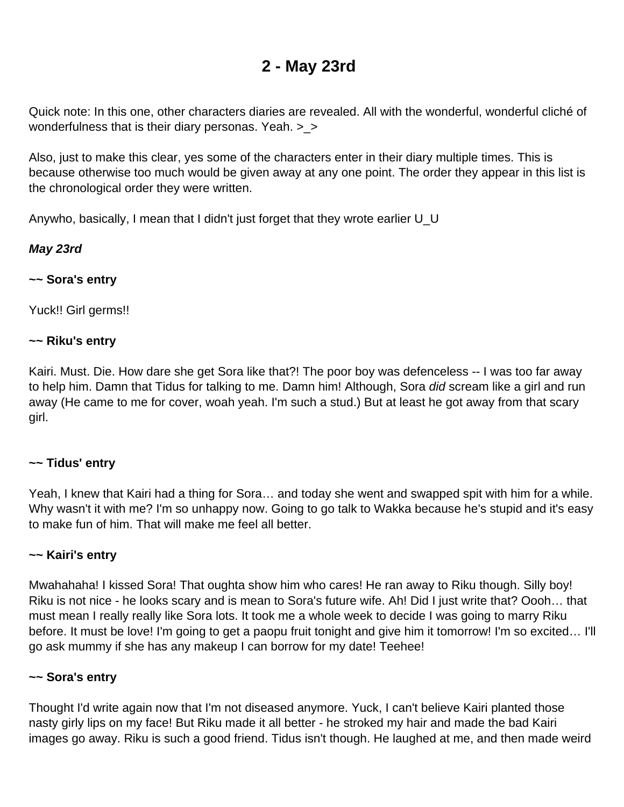## **2 - May 23rd**

<span id="page-3-0"></span>Quick note: In this one, other characters diaries are revealed. All with the wonderful, wonderful cliché of wonderfulness that is their diary personas. Yeah. >\_>

Also, just to make this clear, yes some of the characters enter in their diary multiple times. This is because otherwise too much would be given away at any one point. The order they appear in this list is the chronological order they were written.

Anywho, basically, I mean that I didn't just forget that they wrote earlier U\_U

#### **May 23rd**

#### **~~ Sora's entry**

Yuck!! Girl germs!!

#### **~~ Riku's entry**

Kairi. Must. Die. How dare she get Sora like that?! The poor boy was defenceless -- I was too far away to help him. Damn that Tidus for talking to me. Damn him! Although, Sora did scream like a girl and run away (He came to me for cover, woah yeah. I'm such a stud.) But at least he got away from that scary girl.

#### **~~ Tidus' entry**

Yeah, I knew that Kairi had a thing for Sora… and today she went and swapped spit with him for a while. Why wasn't it with me? I'm so unhappy now. Going to go talk to Wakka because he's stupid and it's easy to make fun of him. That will make me feel all better.

#### **~~ Kairi's entry**

Mwahahaha! I kissed Sora! That oughta show him who cares! He ran away to Riku though. Silly boy! Riku is not nice - he looks scary and is mean to Sora's future wife. Ah! Did I just write that? Oooh… that must mean I really really like Sora lots. It took me a whole week to decide I was going to marry Riku before. It must be love! I'm going to get a paopu fruit tonight and give him it tomorrow! I'm so excited… I'll go ask mummy if she has any makeup I can borrow for my date! Teehee!

#### **~~ Sora's entry**

Thought I'd write again now that I'm not diseased anymore. Yuck, I can't believe Kairi planted those nasty girly lips on my face! But Riku made it all better - he stroked my hair and made the bad Kairi images go away. Riku is such a good friend. Tidus isn't though. He laughed at me, and then made weird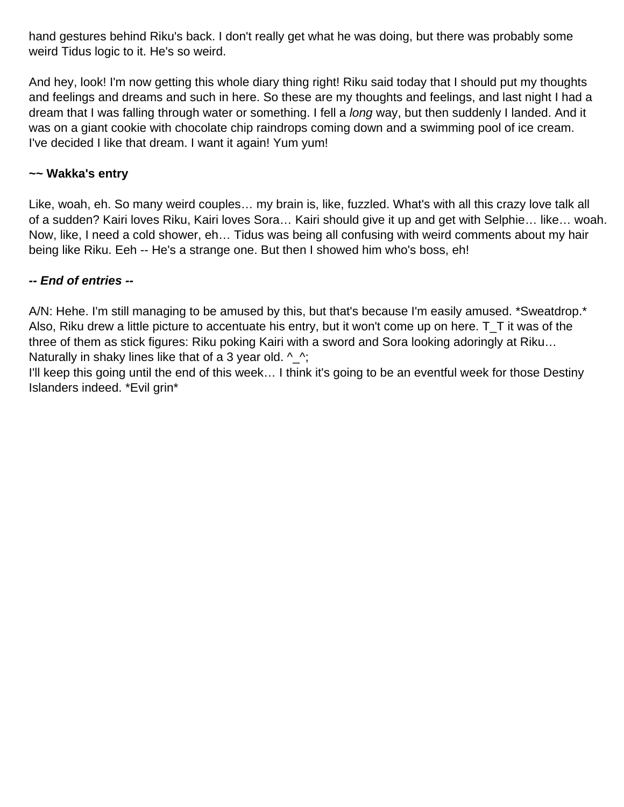hand gestures behind Riku's back. I don't really get what he was doing, but there was probably some weird Tidus logic to it. He's so weird.

And hey, look! I'm now getting this whole diary thing right! Riku said today that I should put my thoughts and feelings and dreams and such in here. So these are my thoughts and feelings, and last night I had a dream that I was falling through water or something. I fell a *long* way, but then suddenly I landed. And it was on a giant cookie with chocolate chip raindrops coming down and a swimming pool of ice cream. I've decided I like that dream. I want it again! Yum yum!

#### **~~ Wakka's entry**

Like, woah, eh. So many weird couples… my brain is, like, fuzzled. What's with all this crazy love talk all of a sudden? Kairi loves Riku, Kairi loves Sora… Kairi should give it up and get with Selphie… like… woah. Now, like, I need a cold shower, eh… Tidus was being all confusing with weird comments about my hair being like Riku. Eeh -- He's a strange one. But then I showed him who's boss, eh!

#### **-- End of entries --**

A/N: Hehe. I'm still managing to be amused by this, but that's because I'm easily amused. \*Sweatdrop.\* Also, Riku drew a little picture to accentuate his entry, but it won't come up on here. T\_T it was of the three of them as stick figures: Riku poking Kairi with a sword and Sora looking adoringly at Riku… Naturally in shaky lines like that of a 3 year old.  $\wedge$ ,

I'll keep this going until the end of this week… I think it's going to be an eventful week for those Destiny Islanders indeed. \*Evil grin\*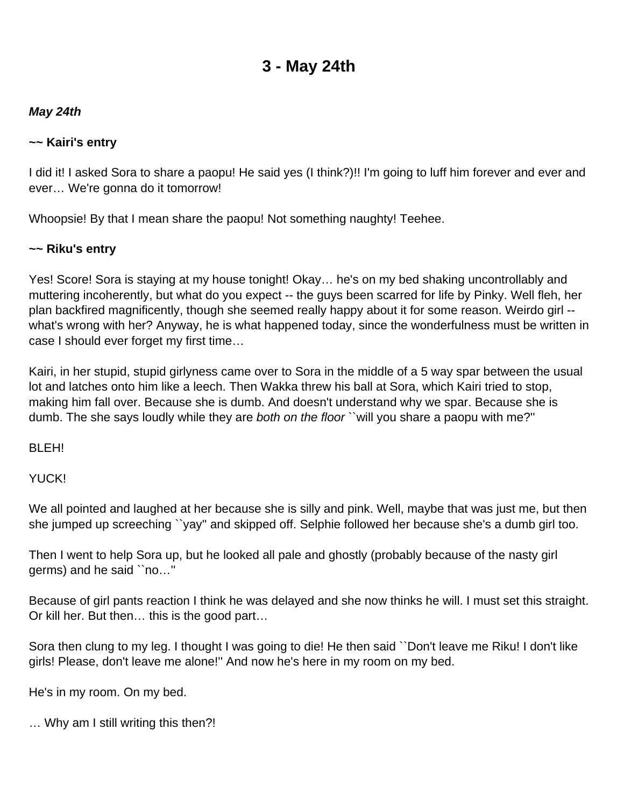## **3 - May 24th**

#### <span id="page-5-0"></span>**May 24th**

#### **~~ Kairi's entry**

I did it! I asked Sora to share a paopu! He said yes (I think?)!! I'm going to luff him forever and ever and ever… We're gonna do it tomorrow!

Whoopsie! By that I mean share the paopu! Not something naughty! Teehee.

#### **~~ Riku's entry**

Yes! Score! Sora is staying at my house tonight! Okay… he's on my bed shaking uncontrollably and muttering incoherently, but what do you expect -- the guys been scarred for life by Pinky. Well fleh, her plan backfired magnificently, though she seemed really happy about it for some reason. Weirdo girl - what's wrong with her? Anyway, he is what happened today, since the wonderfulness must be written in case I should ever forget my first time…

Kairi, in her stupid, stupid girlyness came over to Sora in the middle of a 5 way spar between the usual lot and latches onto him like a leech. Then Wakka threw his ball at Sora, which Kairi tried to stop, making him fall over. Because she is dumb. And doesn't understand why we spar. Because she is dumb. The she says loudly while they are both on the floor `` will you share a paopu with me?"

BLEH!

YUCK!

We all pointed and laughed at her because she is silly and pink. Well, maybe that was just me, but then she jumped up screeching ``yay'' and skipped off. Selphie followed her because she's a dumb girl too.

Then I went to help Sora up, but he looked all pale and ghostly (probably because of the nasty girl germs) and he said ``no…''

Because of girl pants reaction I think he was delayed and she now thinks he will. I must set this straight. Or kill her. But then… this is the good part…

Sora then clung to my leg. I thought I was going to die! He then said ``Don't leave me Riku! I don't like girls! Please, don't leave me alone!'' And now he's here in my room on my bed.

He's in my room. On my bed.

… Why am I still writing this then?!